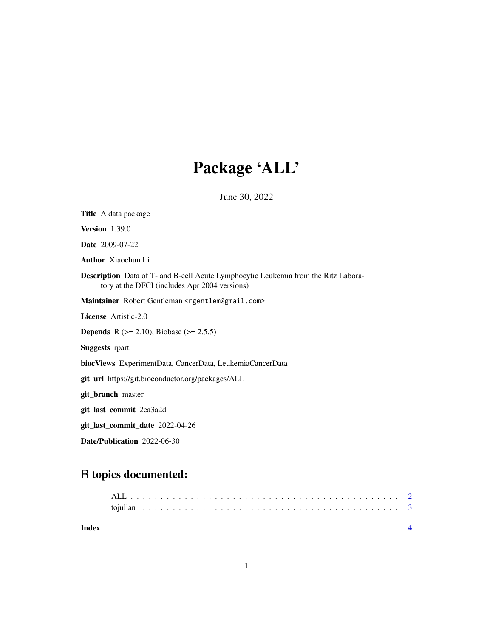## Package 'ALL'

June 30, 2022

| <b>Title</b> A data package                                                                                                                |
|--------------------------------------------------------------------------------------------------------------------------------------------|
| Version $1.39.0$                                                                                                                           |
| <b>Date</b> 2009-07-22                                                                                                                     |
| <b>Author</b> Xiaochun Li                                                                                                                  |
| <b>Description</b> Data of T- and B-cell Acute Lymphocytic Leukemia from the Ritz Labora-<br>tory at the DFCI (includes Apr 2004 versions) |
| Maintainer Robert Gentleman <rgentlem@gmail.com></rgentlem@gmail.com>                                                                      |
| <b>License</b> Artistic-2.0                                                                                                                |
| <b>Depends</b> R $(>= 2.10)$ , Biobase $(>= 2.5.5)$                                                                                        |
| <b>Suggests</b> rpart                                                                                                                      |
| biocViews ExperimentData, CancerData, LeukemiaCancerData                                                                                   |
| git_url https://git.bioconductor.org/packages/ALL                                                                                          |
| git_branch master                                                                                                                          |
| git_last_commit 2ca3a2d                                                                                                                    |
| git_last_commit_date 2022-04-26                                                                                                            |
| Date/Publication 2022-06-30                                                                                                                |

### R topics documented:

| Index |  |  |  |  |  |  |  |  |  |  |  |  |  |  |  |  |  |  |  |  |  |  |
|-------|--|--|--|--|--|--|--|--|--|--|--|--|--|--|--|--|--|--|--|--|--|--|
|       |  |  |  |  |  |  |  |  |  |  |  |  |  |  |  |  |  |  |  |  |  |  |
|       |  |  |  |  |  |  |  |  |  |  |  |  |  |  |  |  |  |  |  |  |  |  |
|       |  |  |  |  |  |  |  |  |  |  |  |  |  |  |  |  |  |  |  |  |  |  |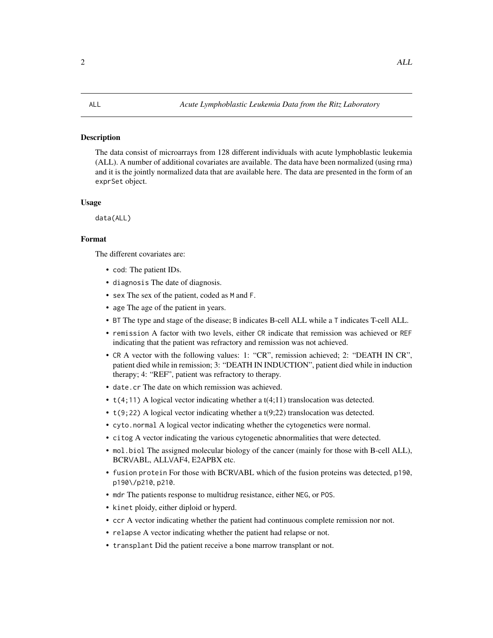#### <span id="page-1-0"></span>Description

The data consist of microarrays from 128 different individuals with acute lymphoblastic leukemia (ALL). A number of additional covariates are available. The data have been normalized (using rma) and it is the jointly normalized data that are available here. The data are presented in the form of an exprSet object.

#### Usage

data(ALL)

### Format

The different covariates are:

- cod: The patient IDs.
- diagnosis The date of diagnosis.
- sex The sex of the patient, coded as M and F.
- age The age of the patient in years.
- BT The type and stage of the disease; B indicates B-cell ALL while a T indicates T-cell ALL.
- remission A factor with two levels, either CR indicate that remission was achieved or REF indicating that the patient was refractory and remission was not achieved.
- CR A vector with the following values: 1: "CR", remission achieved; 2: "DEATH IN CR", patient died while in remission; 3: "DEATH IN INDUCTION", patient died while in induction therapy; 4: "REF", patient was refractory to therapy.
- date.cr The date on which remission was achieved.
- $t(4;11)$  A logical vector indicating whether a  $t(4;11)$  translocation was detected.
- t(9;22) A logical vector indicating whether a t(9;22) translocation was detected.
- cyto.normal A logical vector indicating whether the cytogenetics were normal.
- citog A vector indicating the various cytogenetic abnormalities that were detected.
- mol.biol The assigned molecular biology of the cancer (mainly for those with B-cell ALL), BCR\/ABL, ALL\/AF4, E2APBX etc.
- fusion protein For those with BCR\/ABL which of the fusion proteins was detected, p190, p190\/p210, p210.
- mdr The patients response to multidrug resistance, either NEG, or POS.
- kinet ploidy, either diploid or hyperd.
- ccr A vector indicating whether the patient had continuous complete remission nor not.
- relapse A vector indicating whether the patient had relapse or not.
- transplant Did the patient receive a bone marrow transplant or not.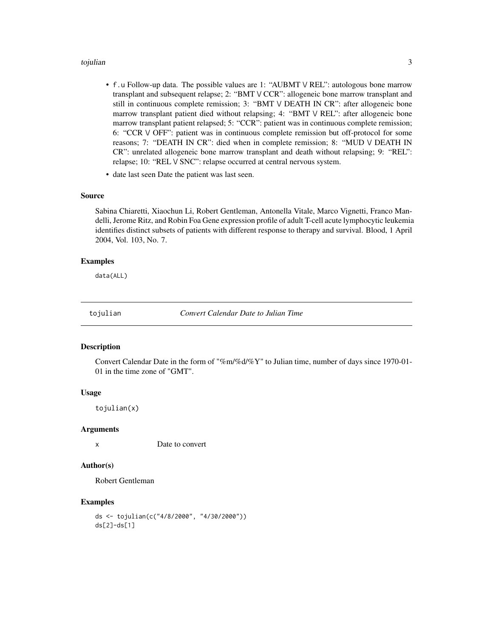#### <span id="page-2-0"></span>tojulian 3

- f. u Follow-up data. The possible values are 1: "AUBMT  $\vee$  REL": autologous bone marrow transplant and subsequent relapse; 2: "BMT  $\vee$  CCR": allogeneic bone marrow transplant and still in continuous complete remission; 3: "BMT \/ DEATH IN CR": after allogeneic bone marrow transplant patient died without relapsing; 4: "BMT  $\vee$  REL": after allogeneic bone marrow transplant patient relapsed; 5: "CCR": patient was in continuous complete remission; 6: "CCR \/ OFF": patient was in continuous complete remission but off-protocol for some reasons; 7: "DEATH IN CR": died when in complete remission; 8: "MUD \/ DEATH IN CR": unrelated allogeneic bone marrow transplant and death without relapsing; 9: "REL": relapse; 10: "REL V SNC": relapse occurred at central nervous system.
- date last seen Date the patient was last seen.

#### Source

Sabina Chiaretti, Xiaochun Li, Robert Gentleman, Antonella Vitale, Marco Vignetti, Franco Mandelli, Jerome Ritz, and Robin Foa Gene expression profile of adult T-cell acute lymphocytic leukemia identifies distinct subsets of patients with different response to therapy and survival. Blood, 1 April 2004, Vol. 103, No. 7.

#### Examples

data(ALL)

tojulian *Convert Calendar Date to Julian Time*

#### **Description**

Convert Calendar Date in the form of "%m/%d/%Y" to Julian time, number of days since 1970-01- 01 in the time zone of "GMT".

#### Usage

tojulian(x)

#### Arguments

x Date to convert

#### Author(s)

Robert Gentleman

#### Examples

```
ds <- tojulian(c("4/8/2000", "4/30/2000"))
ds[2]-ds[1]
```